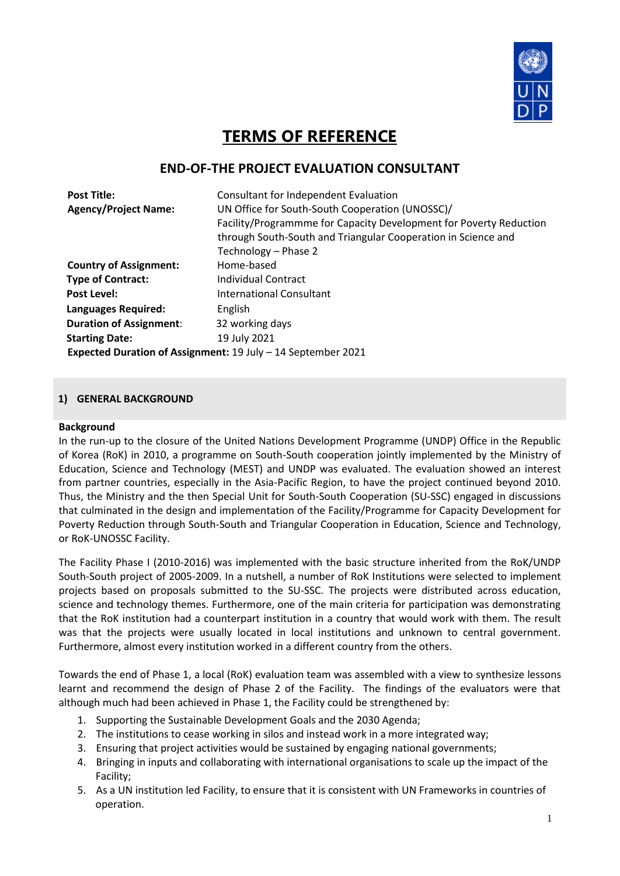

# **TERMS OF REFERENCE**

# **END-OF-THE PROJECT EVALUATION CONSULTANT**

| <b>Post Title:</b>                                           | Consultant for Independent Evaluation                              |  |  |  |  |
|--------------------------------------------------------------|--------------------------------------------------------------------|--|--|--|--|
| <b>Agency/Project Name:</b>                                  | UN Office for South-South Cooperation (UNOSSC)/                    |  |  |  |  |
|                                                              | Facility/Programmme for Capacity Development for Poverty Reduction |  |  |  |  |
|                                                              | through South-South and Triangular Cooperation in Science and      |  |  |  |  |
|                                                              | Technology - Phase 2                                               |  |  |  |  |
| <b>Country of Assignment:</b>                                | Home-based                                                         |  |  |  |  |
| <b>Type of Contract:</b>                                     | Individual Contract                                                |  |  |  |  |
| <b>Post Level:</b>                                           | International Consultant                                           |  |  |  |  |
| <b>Languages Required:</b>                                   | English                                                            |  |  |  |  |
| <b>Duration of Assignment:</b>                               | 32 working days                                                    |  |  |  |  |
| <b>Starting Date:</b>                                        | 19 July 2021                                                       |  |  |  |  |
| Expected Duration of Assignment: 19 July - 14 September 2021 |                                                                    |  |  |  |  |

### **1) GENERAL BACKGROUND**

#### **Background**

In the run-up to the closure of the United Nations Development Programme (UNDP) Office in the Republic of Korea (RoK) in 2010, a programme on South-South cooperation jointly implemented by the Ministry of Education, Science and Technology (MEST) and UNDP was evaluated. The evaluation showed an interest from partner countries, especially in the Asia-Pacific Region, to have the project continued beyond 2010. Thus, the Ministry and the then Special Unit for South-South Cooperation (SU-SSC) engaged in discussions that culminated in the design and implementation of the Facility/Programme for Capacity Development for Poverty Reduction through South-South and Triangular Cooperation in Education, Science and Technology, or RoK-UNOSSC Facility.

The Facility Phase I (2010-2016) was implemented with the basic structure inherited from the RoK/UNDP South-South project of 2005-2009. In a nutshell, a number of RoK Institutions were selected to implement projects based on proposals submitted to the SU-SSC. The projects were distributed across education, science and technology themes. Furthermore, one of the main criteria for participation was demonstrating that the RoK institution had a counterpart institution in a country that would work with them. The result was that the projects were usually located in local institutions and unknown to central government. Furthermore, almost every institution worked in a different country from the others.

Towards the end of Phase 1, a local (RoK) evaluation team was assembled with a view to synthesize lessons learnt and recommend the design of Phase 2 of the Facility. The findings of the evaluators were that although much had been achieved in Phase 1, the Facility could be strengthened by:

- 1. Supporting the Sustainable Development Goals and the 2030 Agenda;
- 2. The institutions to cease working in silos and instead work in a more integrated way;
- 3. Ensuring that project activities would be sustained by engaging national governments;
- 4. Bringing in inputs and collaborating with international organisations to scale up the impact of the Facility;
- 5. As a UN institution led Facility, to ensure that it is consistent with UN Frameworks in countries of operation.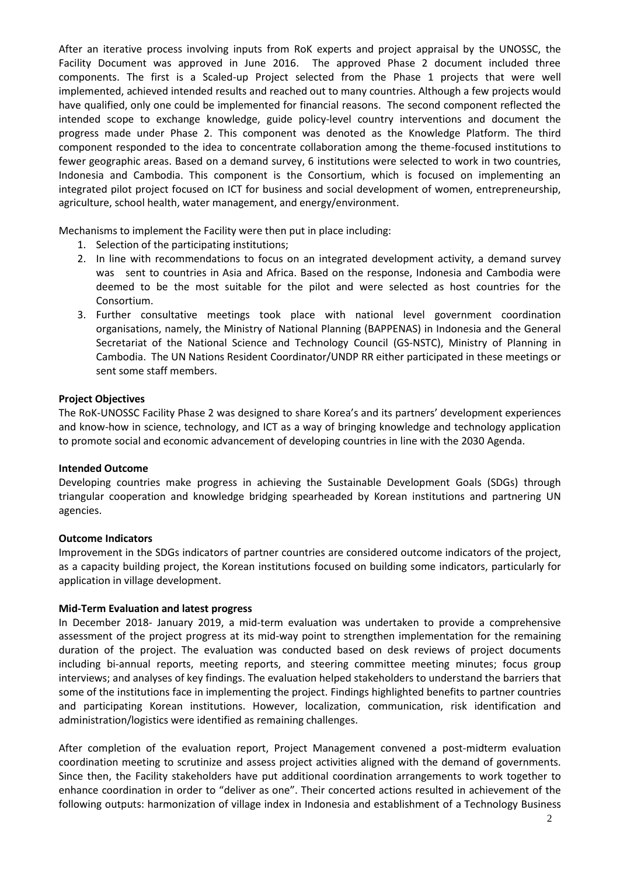After an iterative process involving inputs from RoK experts and project appraisal by the UNOSSC, the Facility Document was approved in June 2016. The approved Phase 2 document included three components. The first is a Scaled-up Project selected from the Phase 1 projects that were well implemented, achieved intended results and reached out to many countries. Although a few projects would have qualified, only one could be implemented for financial reasons. The second component reflected the intended scope to exchange knowledge, guide policy-level country interventions and document the progress made under Phase 2. This component was denoted as the Knowledge Platform. The third component responded to the idea to concentrate collaboration among the theme-focused institutions to fewer geographic areas. Based on a demand survey, 6 institutions were selected to work in two countries, Indonesia and Cambodia. This component is the Consortium, which is focused on implementing an integrated pilot project focused on ICT for business and social development of women, entrepreneurship, agriculture, school health, water management, and energy/environment.

Mechanisms to implement the Facility were then put in place including:

- 1. Selection of the participating institutions;
- 2. In line with recommendations to focus on an integrated development activity, a demand survey was sent to countries in Asia and Africa. Based on the response, Indonesia and Cambodia were deemed to be the most suitable for the pilot and were selected as host countries for the Consortium.
- 3. Further consultative meetings took place with national level government coordination organisations, namely, the Ministry of National Planning (BAPPENAS) in Indonesia and the General Secretariat of the National Science and Technology Council (GS-NSTC), Ministry of Planning in Cambodia. The UN Nations Resident Coordinator/UNDP RR either participated in these meetings or sent some staff members.

#### **Project Objectives**

The RoK-UNOSSC Facility Phase 2 was designed to share Korea's and its partners' development experiences and know-how in science, technology, and ICT as a way of bringing knowledge and technology application to promote social and economic advancement of developing countries in line with the 2030 Agenda.

#### **Intended Outcome**

Developing countries make progress in achieving the Sustainable Development Goals (SDGs) through triangular cooperation and knowledge bridging spearheaded by Korean institutions and partnering UN agencies.

#### **Outcome Indicators**

Improvement in the SDGs indicators of partner countries are considered outcome indicators of the project, as a capacity building project, the Korean institutions focused on building some indicators, particularly for application in village development.

#### **Mid-Term Evaluation and latest progress**

In December 2018- January 2019, a mid-term evaluation was undertaken to provide a comprehensive assessment of the project progress at its mid-way point to strengthen implementation for the remaining duration of the project. The evaluation was conducted based on desk reviews of project documents including bi-annual reports, meeting reports, and steering committee meeting minutes; focus group interviews; and analyses of key findings. The evaluation helped stakeholders to understand the barriers that some of the institutions face in implementing the project. Findings highlighted benefits to partner countries and participating Korean institutions. However, localization, communication, risk identification and administration/logistics were identified as remaining challenges.

After completion of the evaluation report, Project Management convened a post-midterm evaluation coordination meeting to scrutinize and assess project activities aligned with the demand of governments. Since then, the Facility stakeholders have put additional coordination arrangements to work together to enhance coordination in order to "deliver as one". Their concerted actions resulted in achievement of the following outputs: harmonization of village index in Indonesia and establishment of a Technology Business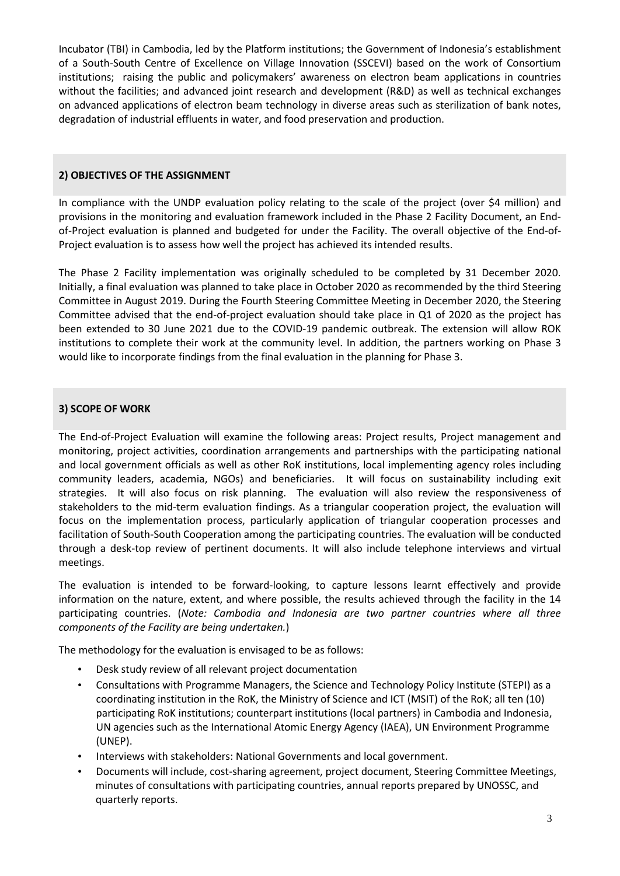Incubator (TBI) in Cambodia, led by the Platform institutions; the Government of Indonesia's establishment of a South-South Centre of Excellence on Village Innovation (SSCEVI) based on the work of Consortium institutions; raising the public and policymakers' awareness on electron beam applications in countries without the facilities; and advanced joint research and development (R&D) as well as technical exchanges on advanced applications of electron beam technology in diverse areas such as sterilization of bank notes, degradation of industrial effluents in water, and food preservation and production.

# **2) OBJECTIVES OF THE ASSIGNMENT**

In compliance with the UNDP evaluation policy relating to the scale of the project (over \$4 million) and provisions in the monitoring and evaluation framework included in the Phase 2 Facility Document, an Endof-Project evaluation is planned and budgeted for under the Facility. The overall objective of the End-of-Project evaluation is to assess how well the project has achieved its intended results.

The Phase 2 Facility implementation was originally scheduled to be completed by 31 December 2020. Initially, a final evaluation was planned to take place in October 2020 as recommended by the third Steering Committee in August 2019. During the Fourth Steering Committee Meeting in December 2020, the Steering Committee advised that the end-of-project evaluation should take place in Q1 of 2020 as the project has been extended to 30 June 2021 due to the COVID-19 pandemic outbreak. The extension will allow ROK institutions to complete their work at the community level. In addition, the partners working on Phase 3 would like to incorporate findings from the final evaluation in the planning for Phase 3.

# **3) SCOPE OF WORK**

The End-of-Project Evaluation will examine the following areas: Project results, Project management and monitoring, project activities, coordination arrangements and partnerships with the participating national and local government officials as well as other RoK institutions, local implementing agency roles including community leaders, academia, NGOs) and beneficiaries. It will focus on sustainability including exit strategies. It will also focus on risk planning. The evaluation will also review the responsiveness of stakeholders to the mid-term evaluation findings. As a triangular cooperation project, the evaluation will focus on the implementation process, particularly application of triangular cooperation processes and facilitation of South-South Cooperation among the participating countries. The evaluation will be conducted through a desk-top review of pertinent documents. It will also include telephone interviews and virtual meetings.

The evaluation is intended to be forward-looking, to capture lessons learnt effectively and provide information on the nature, extent, and where possible, the results achieved through the facility in the 14 participating countries. (*Note: Cambodia and Indonesia are two partner countries where all three components of the Facility are being undertaken.*)

The methodology for the evaluation is envisaged to be as follows:

- Desk study review of all relevant project documentation
- Consultations with Programme Managers, the Science and Technology Policy Institute (STEPI) as a coordinating institution in the RoK, the Ministry of Science and ICT (MSIT) of the RoK; all ten (10) participating RoK institutions; counterpart institutions (local partners) in Cambodia and Indonesia, UN agencies such as the International Atomic Energy Agency (IAEA), UN Environment Programme (UNEP).
- Interviews with stakeholders: National Governments and local government.
- Documents will include, cost-sharing agreement, project document, Steering Committee Meetings, minutes of consultations with participating countries, annual reports prepared by UNOSSC, and quarterly reports.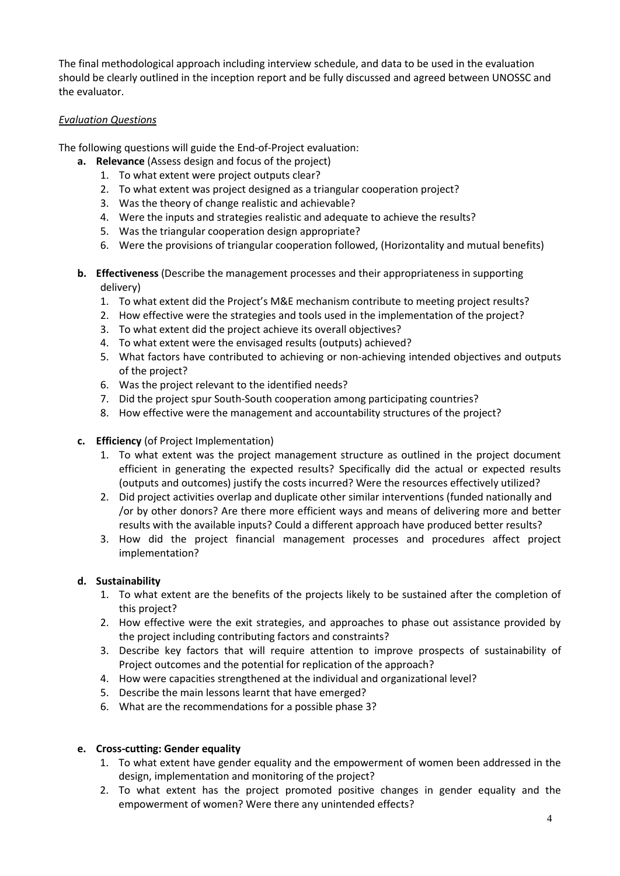The final methodological approach including interview schedule, and data to be used in the evaluation should be clearly outlined in the inception report and be fully discussed and agreed between UNOSSC and the evaluator.

# *Evaluation Questions*

The following questions will guide the End-of-Project evaluation:

- **a. Relevance** (Assess design and focus of the project)
	- 1. To what extent were project outputs clear?
	- 2. To what extent was project designed as a triangular cooperation project?
	- 3. Was the theory of change realistic and achievable?
	- 4. Were the inputs and strategies realistic and adequate to achieve the results?
	- 5. Was the triangular cooperation design appropriate?
	- 6. Were the provisions of triangular cooperation followed, (Horizontality and mutual benefits)
- **b. Effectiveness** (Describe the management processes and their appropriateness in supporting delivery)
	- 1. To what extent did the Project's M&E mechanism contribute to meeting project results?
	- 2. How effective were the strategies and tools used in the implementation of the project?
	- 3. To what extent did the project achieve its overall objectives?
	- 4. To what extent were the envisaged results (outputs) achieved?
	- 5. What factors have contributed to achieving or non-achieving intended objectives and outputs of the project?
	- 6. Was the project relevant to the identified needs?
	- 7. Did the project spur South-South cooperation among participating countries?
	- 8. How effective were the management and accountability structures of the project?
- **c. Efficiency** (of Project Implementation)
	- 1. To what extent was the project management structure as outlined in the project document efficient in generating the expected results? Specifically did the actual or expected results (outputs and outcomes) justify the costs incurred? Were the resources effectively utilized?
	- 2. Did project activities overlap and duplicate other similar interventions (funded nationally and /or by other donors? Are there more efficient ways and means of delivering more and better results with the available inputs? Could a different approach have produced better results?
	- 3. How did the project financial management processes and procedures affect project implementation?

# **d. Sustainability**

- 1. To what extent are the benefits of the projects likely to be sustained after the completion of this project?
- 2. How effective were the exit strategies, and approaches to phase out assistance provided by the project including contributing factors and constraints?
- 3. Describe key factors that will require attention to improve prospects of sustainability of Project outcomes and the potential for replication of the approach?
- 4. How were capacities strengthened at the individual and organizational level?
- 5. Describe the main lessons learnt that have emerged?
- 6. What are the recommendations for a possible phase 3?

# **e. Cross-cutting: Gender equality**

- 1. To what extent have gender equality and the empowerment of women been addressed in the design, implementation and monitoring of the project?
- 2. To what extent has the project promoted positive changes in gender equality and the empowerment of women? Were there any unintended effects?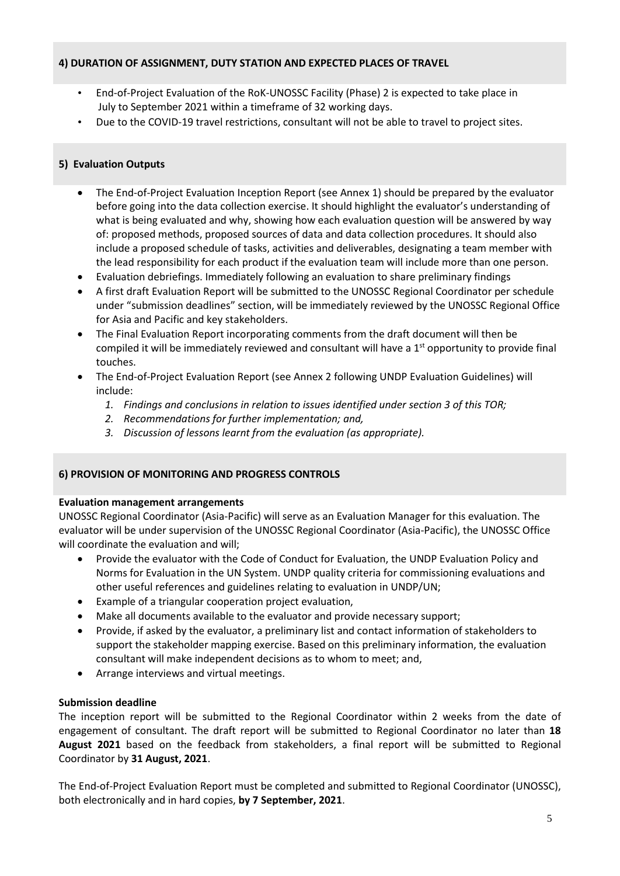# **4) DURATION OF ASSIGNMENT, DUTY STATION AND EXPECTED PLACES OF TRAVEL**

- End-of-Project Evaluation of the RoK-UNOSSC Facility (Phase) 2 is expected to take place in July to September 2021 within a timeframe of 32 working days.
- Due to the COVID-19 travel restrictions, consultant will not be able to travel to project sites.

### **5) Evaluation Outputs**

- The End-of-Project Evaluation Inception Report (see Annex 1) should be prepared by the evaluator before going into the data collection exercise. It should highlight the evaluator's understanding of what is being evaluated and why, showing how each evaluation question will be answered by way of: proposed methods, proposed sources of data and data collection procedures. It should also include a proposed schedule of tasks, activities and deliverables, designating a team member with the lead responsibility for each product if the evaluation team will include more than one person.
- Evaluation debriefings. Immediately following an evaluation to share preliminary findings
- A first draft Evaluation Report will be submitted to the UNOSSC Regional Coordinator per schedule under "submission deadlines" section, will be immediately reviewed by the UNOSSC Regional Office for Asia and Pacific and key stakeholders.
- The Final Evaluation Report incorporating comments from the draft document will then be compiled it will be immediately reviewed and consultant will have a  $1<sup>st</sup>$  opportunity to provide final touches.
- The End-of-Project Evaluation Report (see Annex 2 following UNDP Evaluation Guidelines) will include:
	- *1. Findings and conclusions in relation to issues identified under section 3 of this TOR;*
	- *2. Recommendations for further implementation; and,*
	- *3. Discussion of lessons learnt from the evaluation (as appropriate).*

#### **6) PROVISION OF MONITORING AND PROGRESS CONTROLS**

#### **Evaluation management arrangements**

UNOSSC Regional Coordinator (Asia-Pacific) will serve as an Evaluation Manager for this evaluation. The evaluator will be under supervision of the UNOSSC Regional Coordinator (Asia-Pacific), the UNOSSC Office will coordinate the evaluation and will;

- Provide the evaluator with the Code of Conduct for Evaluation, the UNDP Evaluation Policy and Norms for Evaluation in the UN System. UNDP quality criteria for commissioning evaluations and other useful references and guidelines relating to evaluation in UNDP/UN;
- Example of a triangular cooperation project evaluation,
- Make all documents available to the evaluator and provide necessary support;
- Provide, if asked by the evaluator, a preliminary list and contact information of stakeholders to support the stakeholder mapping exercise. Based on this preliminary information, the evaluation consultant will make independent decisions as to whom to meet; and,
- Arrange interviews and virtual meetings.

#### **Submission deadline**

The inception report will be submitted to the Regional Coordinator within 2 weeks from the date of engagement of consultant. The draft report will be submitted to Regional Coordinator no later than **18 August 2021** based on the feedback from stakeholders, a final report will be submitted to Regional Coordinator by **31 August, 2021**.

The End-of-Project Evaluation Report must be completed and submitted to Regional Coordinator (UNOSSC), both electronically and in hard copies, **by 7 September, 2021**.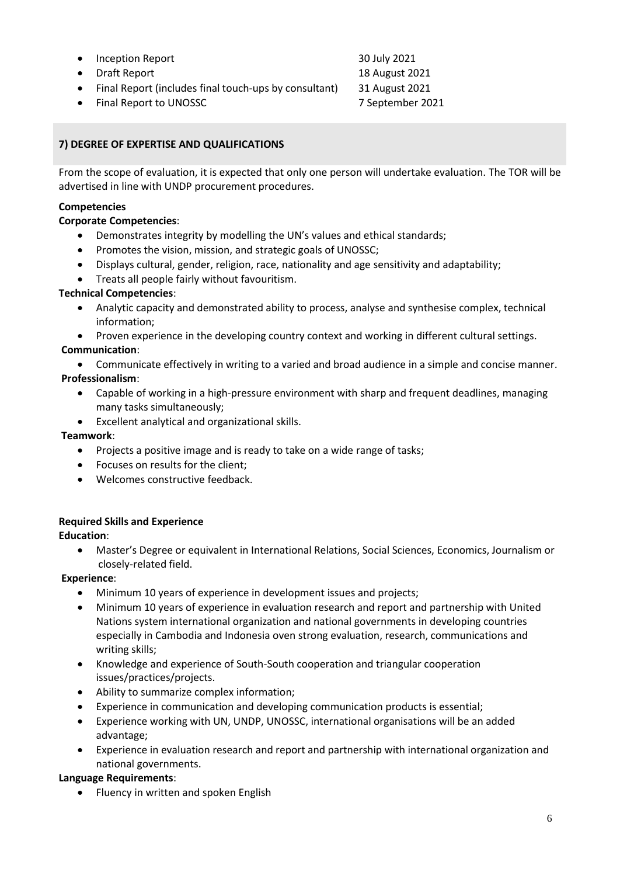- Inception Report 30 July 2021
- Draft Report 18 August 2021
- Final Report (includes final touch-ups by consultant) 31 August 2021
- Final Report to UNOSSC 7 September 2021

# **7) DEGREE OF EXPERTISE AND QUALIFICATIONS**

From the scope of evaluation, it is expected that only one person will undertake evaluation. The TOR will be advertised in line with UNDP procurement procedures.

# **Competencies**

# **Corporate Competencies**:

- Demonstrates integrity by modelling the UN's values and ethical standards;
- Promotes the vision, mission, and strategic goals of UNOSSC;
- Displays cultural, gender, religion, race, nationality and age sensitivity and adaptability;
- Treats all people fairly without favouritism.

# **Technical Competencies**:

- Analytic capacity and demonstrated ability to process, analyse and synthesise complex, technical information;
- Proven experience in the developing country context and working in different cultural settings. **Communication**:

• Communicate effectively in writing to a varied and broad audience in a simple and concise manner.

# **Professionalism**:

- Capable of working in a high-pressure environment with sharp and frequent deadlines, managing many tasks simultaneously;
- Excellent analytical and organizational skills.

# **Teamwork**:

- Projects a positive image and is ready to take on a wide range of tasks;
- Focuses on results for the client;
- Welcomes constructive feedback.

# **Required Skills and Experience**

# **Education**:

• Master's Degree or equivalent in International Relations, Social Sciences, Economics, Journalism or closely-related field.

# **Experience**:

- Minimum 10 years of experience in development issues and projects;
- Minimum 10 years of experience in evaluation research and report and partnership with United Nations system international organization and national governments in developing countries especially in Cambodia and Indonesia oven strong evaluation, research, communications and writing skills;
- Knowledge and experience of South-South cooperation and triangular cooperation issues/practices/projects.
- Ability to summarize complex information;
- Experience in communication and developing communication products is essential;
- Experience working with UN, UNDP, UNOSSC, international organisations will be an added advantage;
- Experience in evaluation research and report and partnership with international organization and national governments.

# **Language Requirements**:

• Fluency in written and spoken English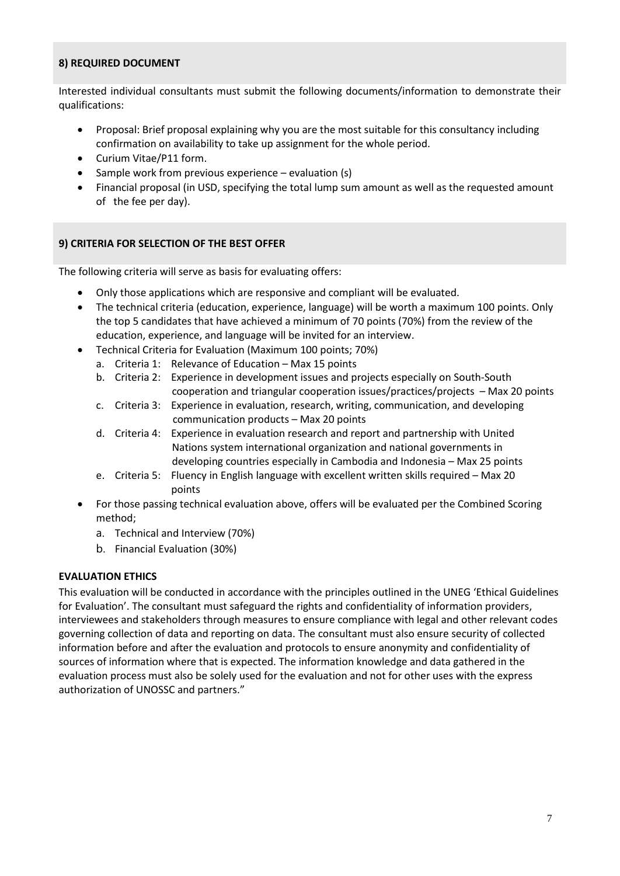### **8) REQUIRED DOCUMENT**

Interested individual consultants must submit the following documents/information to demonstrate their qualifications:

- Proposal: Brief proposal explaining why you are the most suitable for this consultancy including confirmation on availability to take up assignment for the whole period.
- Curium Vitae/P11 form.
- Sample work from previous experience evaluation (s)
- Financial proposal (in USD, specifying the total lump sum amount as well as the requested amount of the fee per day).

# **9) CRITERIA FOR SELECTION OF THE BEST OFFER**

The following criteria will serve as basis for evaluating offers:

- Only those applications which are responsive and compliant will be evaluated.
- The technical criteria (education, experience, language) will be worth a maximum 100 points. Only the top 5 candidates that have achieved a minimum of 70 points (70%) from the review of the education, experience, and language will be invited for an interview.
- Technical Criteria for Evaluation (Maximum 100 points; 70%)
	- a. Criteria 1: Relevance of Education Max 15 points
	- b. Criteria 2: Experience in development issues and projects especially on South-South cooperation and triangular cooperation issues/practices/projects – Max 20 points
	- c. Criteria 3: Experience in evaluation, research, writing, communication, and developing communication products – Max 20 points
	- d. Criteria 4: Experience in evaluation research and report and partnership with United Nations system international organization and national governments in developing countries especially in Cambodia and Indonesia – Max 25 points
	- e. Criteria 5: Fluency in English language with excellent written skills required Max 20 points
- For those passing technical evaluation above, offers will be evaluated per the Combined Scoring method;
	- a. Technical and Interview (70%)
	- b. Financial Evaluation (30%)

# **EVALUATION ETHICS**

This evaluation will be conducted in accordance with the principles outlined in the UNEG 'Ethical Guidelines for Evaluation'. The consultant must safeguard the rights and confidentiality of information providers, interviewees and stakeholders through measures to ensure compliance with legal and other relevant codes governing collection of data and reporting on data. The consultant must also ensure security of collected information before and after the evaluation and protocols to ensure anonymity and confidentiality of sources of information where that is expected. The information knowledge and data gathered in the evaluation process must also be solely used for the evaluation and not for other uses with the express authorization of UNOSSC and partners."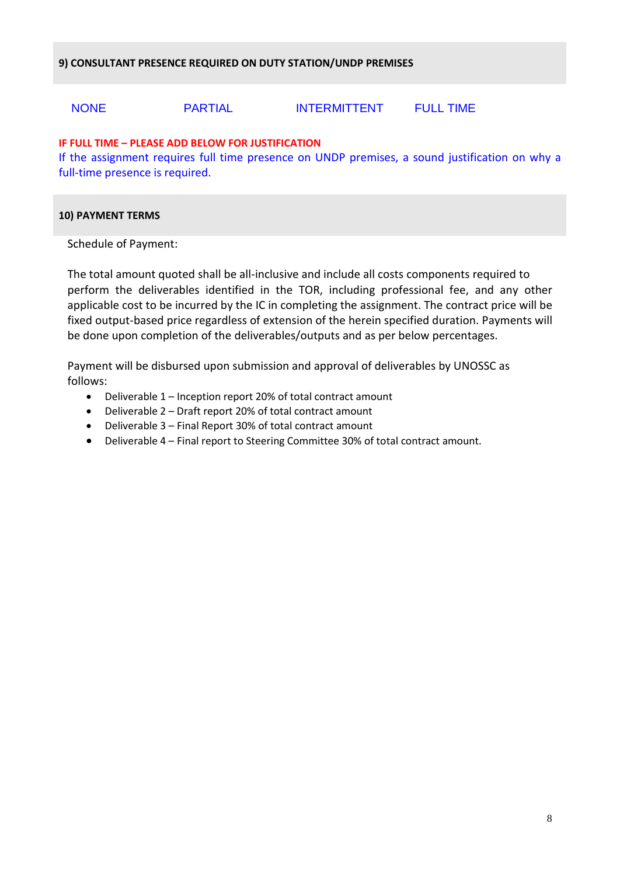# NONE PARTIAL INTERMITTENT FULL TIME

# **IF FULL TIME – PLEASE ADD BELOW FOR JUSTIFICATION**

If the assignment requires full time presence on UNDP premises, a sound justification on why a full-time presence is required.

#### **10) PAYMENT TERMS**

Schedule of Payment:

The total amount quoted shall be all-inclusive and include all costs components required to perform the deliverables identified in the TOR, including professional fee, and any other applicable cost to be incurred by the IC in completing the assignment. The contract price will be fixed output-based price regardless of extension of the herein specified duration. Payments will be done upon completion of the deliverables/outputs and as per below percentages.

Payment will be disbursed upon submission and approval of deliverables by UNOSSC as follows:

- Deliverable 1 Inception report 20% of total contract amount
- Deliverable 2 Draft report 20% of total contract amount
- Deliverable 3 Final Report 30% of total contract amount
- Deliverable 4 Final report to Steering Committee 30% of total contract amount.